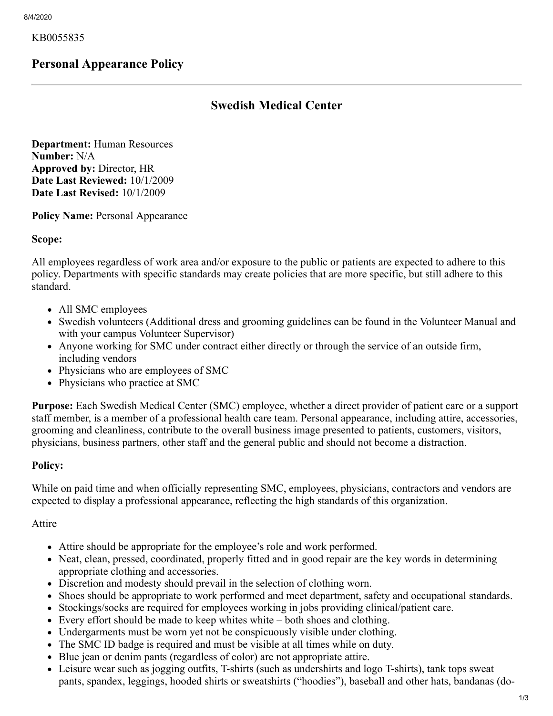KB0055835

# **Personal Appearance Policy**

# **Swedish Medical Center**

**Department:** Human Resources **Number:** N/A **Approved by:** Director, HR **Date Last Reviewed:** 10/1/2009 **Date Last Revised:** 10/1/2009

**Policy Name: Personal Appearance** 

**Scope:**

All employees regardless of work area and/or exposure to the public or patients are expected to adhere to this policy. Departments with specific standards may create policies that are more specific, but still adhere to this standard.

- All SMC employees
- Swedish volunteers (Additional dress and grooming guidelines can be found in the Volunteer Manual and with your campus Volunteer Supervisor)
- Anyone working for SMC under contract either directly or through the service of an outside firm, including vendors
- Physicians who are employees of SMC
- Physicians who practice at SMC

**Purpose:** Each Swedish Medical Center (SMC) employee, whether a direct provider of patient care or a support staff member, is a member of a professional health care team. Personal appearance, including attire, accessories, grooming and cleanliness, contribute to the overall business image presented to patients, customers, visitors, physicians, business partners, other staff and the general public and should not become a distraction.

## **Policy:**

While on paid time and when officially representing SMC, employees, physicians, contractors and vendors are expected to display a professional appearance, reflecting the high standards of this organization.

#### Attire

- Attire should be appropriate for the employee's role and work performed.
- Neat, clean, pressed, coordinated, properly fitted and in good repair are the key words in determining appropriate clothing and accessories.
- Discretion and modesty should prevail in the selection of clothing worn.
- Shoes should be appropriate to work performed and meet department, safety and occupational standards.
- Stockings/socks are required for employees working in jobs providing clinical/patient care.
- Every effort should be made to keep whites white both shoes and clothing.
- Undergarments must be worn yet not be conspicuously visible under clothing.
- The SMC ID badge is required and must be visible at all times while on duty.
- Blue jean or denim pants (regardless of color) are not appropriate attire.
- Leisure wear such as jogging outfits, T-shirts (such as undershirts and logo T-shirts), tank tops sweat pants, spandex, leggings, hooded shirts or sweatshirts ("hoodies"), baseball and other hats, bandanas (do-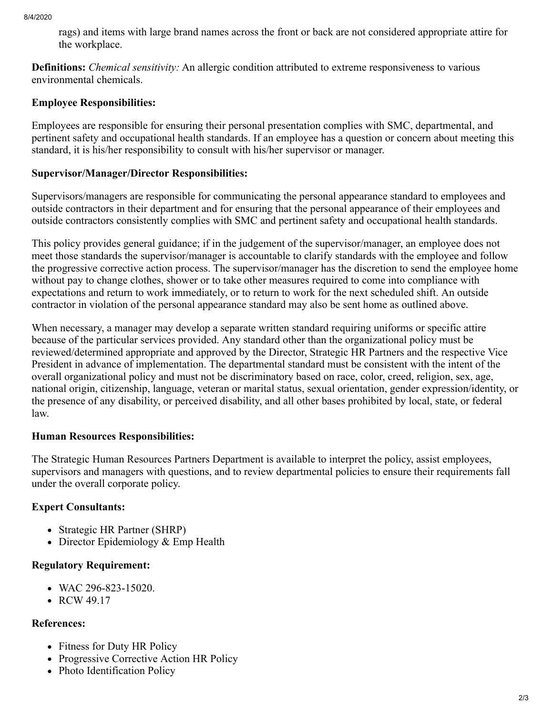rags) and items with large brand names across the front or back are not considered appropriate attire for the workplace.

**Definitions:** *Chemical sensitivity:* An allergic condition attributed to extreme responsiveness to various environmental chemicals.

## **Employee Responsibilities:**

Employees are responsible for ensuring their personal presentation complies with SMC, departmental, and pertinent safety and occupational health standards. If an employee has a question or concern about meeting this standard, it is his/her responsibility to consult with his/her supervisor or manager.

## **Supervisor/Manager/Director Responsibilities:**

Supervisors/managers are responsible for communicating the personal appearance standard to employees and outside contractors in their department and for ensuring that the personal appearance of their employees and outside contractors consistently complies with SMC and pertinent safety and occupational health standards.

This policy provides general guidance; if in the judgement of the supervisor/manager, an employee does not meet those standards the supervisor/manager is accountable to clarify standards with the employee and follow the progressive corrective action process. The supervisor/manager has the discretion to send the employee home without pay to change clothes, shower or to take other measures required to come into compliance with expectations and return to work immediately, or to return to work for the next scheduled shift. An outside contractor in violation of the personal appearance standard may also be sent home as outlined above.

When necessary, a manager may develop a separate written standard requiring uniforms or specific attire because of the particular services provided. Any standard other than the organizational policy must be reviewed/determined appropriate and approved by the Director, Strategic HR Partners and the respective Vice President in advance of implementation. The departmental standard must be consistent with the intent of the overall organizational policy and must not be discriminatory based on race, color, creed, religion, sex, age, national origin, citizenship, language, veteran or marital status, sexual orientation, gender expression/identity, or the presence of any disability, or perceived disability, and all other bases prohibited by local, state, or federal law.

## **Human Resources Responsibilities:**

The Strategic Human Resources Partners Department is available to interpret the policy, assist employees, supervisors and managers with questions, and to review departmental policies to ensure their requirements fall under the overall corporate policy.

## **Expert Consultants:**

- Strategic HR Partner (SHRP)
- Director Epidemiology & Emp Health

## **Regulatory Requirement:**

- WAC 296-823-15020.
- RCW 49.17

## **References:**

- Fitness for Duty HR Policy
- Progressive Corrective Action HR Policy
- Photo Identification Policy